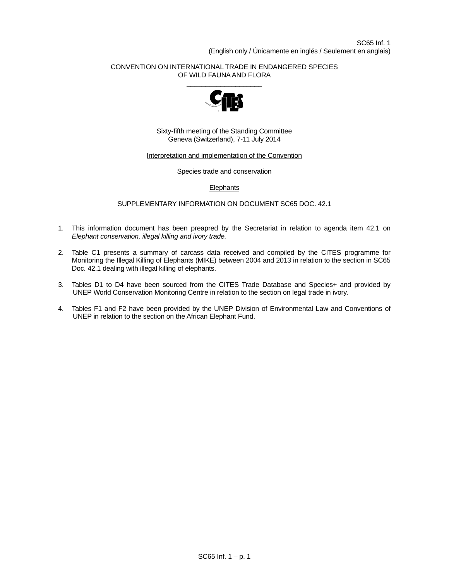# CONVENTION ON INTERNATIONAL TRADE IN ENDANGERED SPECIES OF WILD FAUNA AND FLORA



Sixty-fifth meeting of the Standing Committee Geneva (Switzerland), 7-11 July 2014

## Interpretation and implementation of the Convention

#### Species trade and conservation

# **Elephants**

## SUPPLEMENTARY INFORMATION ON DOCUMENT SC65 DOC. 42.1

- 1. This information document has been preapred by the Secretariat in relation to agenda item 42.1 on *Elephant conservation, illegal killing and ivory trade.*
- 2. Table C1 presents a summary of carcass data received and compiled by the CITES programme for Monitoring the Illegal Killing of Elephants (MIKE) between 2004 and 2013 in relation to the section in SC65 Doc. 42.1 dealing with illegal killing of elephants.
- 3. Tables D1 to D4 have been sourced from the CITES Trade Database and Species+ and provided by UNEP World Conservation Monitoring Centre in relation to the section on legal trade in ivory.
- 4. Tables F1 and F2 have been provided by the UNEP Division of Environmental Law and Conventions of UNEP in relation to the section on the African Elephant Fund.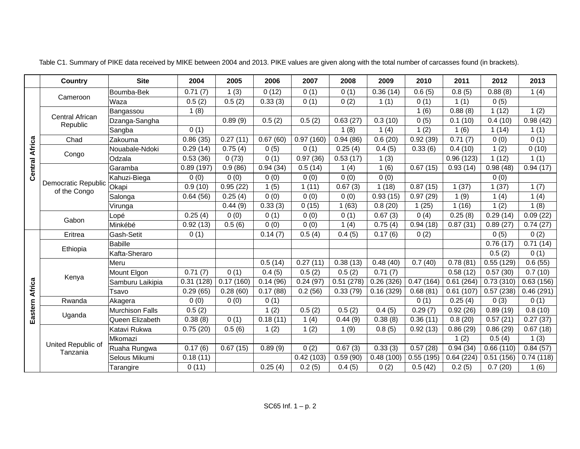|                       | <b>Country</b>                      | <b>Site</b>            | 2004                  | 2005      | 2006     | 2007      | 2008      | 2009                   | 2010      | 2011                   | 2012      | 2013                  |
|-----------------------|-------------------------------------|------------------------|-----------------------|-----------|----------|-----------|-----------|------------------------|-----------|------------------------|-----------|-----------------------|
|                       |                                     | Boumba-Bek             | 0.71(7)               | 1(3)      | 0(12)    | 0(1)      | 0(1)      | $\overline{0.36}$ (14) | 0.6(5)    | 0.8(5)                 | 0.88(8)   | 1(4)                  |
|                       | Cameroon                            | Waza                   | 0.5(2)                | 0.5(2)    | 0.33(3)  | 0(1)      | 0(2)      | 1(1)                   | 0(1)      | 1(1)                   | 0(5)      |                       |
|                       |                                     | Bangassou              | 1(8)                  |           |          |           |           |                        | 1(6)      | $\overline{0.88}$ (8)  | 1(12)     | 1(2)                  |
|                       | Central African<br>Republic         | Dzanga-Sangha          |                       | 0.89(9)   | 0.5(2)   | 0.5(2)    | 0.63(27)  | 0.3(10)                | 0(5)      | 0.1(10)                | 0.4(10)   | 0.98(42)              |
|                       |                                     | Sangba                 | $\overline{0(1)}$     |           |          |           | 1(8)      | 1(4)                   | 1(2)      | 1(6)                   | 1(14)     | 1(1)                  |
|                       | Chad                                | Zakouma                | 0.86(35)              | 0.27(11)  | 0.67(60) | 0.97(160) | 0.94(86)  | 0.6(20)                | 0.92(39)  | 0.71(7)                | 0(0)      | 0(1)                  |
| <b>Central Africa</b> |                                     | Nouabale-Ndoki         | 0.29(14)              | 0.75(4)   | 0(5)     | 0(1)      | 0.25(4)   | 0.4(5)                 | 0.33(6)   | 0.4(10)                | 1(2)      | 0(10)                 |
|                       | Congo                               | Odzala                 | 0.53(36)              | 0(73)     | 0(1)     | 0.97(36)  | 0.53(17)  | 1(3)                   |           | 0.96(123)              | 1(12)     | 1(1)                  |
|                       |                                     | Garamba                | 0.89(197)             | 0.9(86)   | 0.94(34) | 0.5(14)   | 1(4)      | 1(6)                   | 0.67(15)  | 0.93(14)               | 0.98(48)  | 0.94(17)              |
|                       |                                     | Kahuzi-Biega           | 0(0)                  | 0(0)      | 0(0)     | 0(0)      | 0(0)      | 0(0)                   |           |                        | 0(0)      |                       |
|                       | Democratic Republic<br>of the Congo | Okapi                  | $\overline{0.9}$ (10) | 0.95(22)  | 1(5)     | 1(11)     | 0.67(3)   | 1(18)                  | 0.87(15)  | 1(37)                  | 1(37)     | 1(7)                  |
|                       |                                     | Salonga                | 0.64(56)              | 0.25(4)   | 0(0)     | 0(0)      | 0(0)      | 0.93(15)               | 0.97(29)  | 1(9)                   | 1(4)      | 1(4)                  |
|                       |                                     | Virunga                |                       | 0.44(9)   | 0.33(3)  | 0(15)     | 1(63)     | 0.8(20)                | 1(25)     | 1(16)                  | 1(2)      | 1(8)                  |
|                       |                                     | Lopé                   | 0.25(4)               | 0(0)      | 0(1)     | 0(0)      | 0(1)      | 0.67(3)                | 0(4)      | 0.25(8)                | 0.29(14)  | 0.09(22)              |
|                       | Gabon                               | Minkébé                | 0.92(13)              | 0.5(6)    | 0(0)     | 0(0)      | 1(4)      | 0.75(4)                | 0.94(18)  | 0.87(31)               | 0.89(27)  | $\overline{0.7}4(27)$ |
|                       | Eritrea                             | Gash-Setit             | 0(1)                  |           | 0.14(7)  | 0.5(4)    | 0.4(5)    | 0.17(6)                | 0(2)      |                        | 0(5)      | 0(2)                  |
|                       | Ethiopia                            | Babille                |                       |           |          |           |           |                        |           |                        | 0.76(17)  | 0.71(14)              |
|                       |                                     | Kafta-Sheraro          |                       |           |          |           |           |                        |           |                        | 0.5(2)    | 0(1)                  |
|                       |                                     | Meru                   |                       |           | 0.5(14)  | 0.27(11)  | 0.38(13)  | 0.48(40)               | 0.7(40)   | 0.78(81)               | 0.55(129) | 0.6(55)               |
|                       | Kenya                               | Mount Elgon            | $\overline{0.71}$ (7) | 0(1)      | 0.4(5)   | 0.5(2)    | 0.5(2)    | $\overline{0.71}$ (7)  |           | $\overline{0.58}$ (12) | 0.57(30)  | 0.7(10)               |
|                       |                                     | Samburu Laikipia       | 0.31(128)             | 0.17(160) | 0.14(96) | 0.24(97)  | 0.51(278) | 0.26(326)              | 0.47(164) | 0.61(264)              | 0.73(310) | 0.63(156)             |
| Eastern Africa        |                                     | Tsavo                  | 0.29(65)              | 0.28(60)  | 0.17(88) | 0.2(56)   | 0.33(79)  | 0.16(329)              | 0.68(81)  | 0.61(107)              | 0.57(238) | 0.46(291)             |
|                       | Rwanda                              | Akagera                | 0(0)                  | 0(0)      | 0(1)     |           |           |                        | 0(1)      | 0.25(4)                | 0(3)      | 0(1)                  |
|                       | Uganda                              | <b>Murchison Falls</b> | 0.5(2)                |           | 1(2)     | 0.5(2)    | 0.5(2)    | 0.4(5)                 | 0.29(7)   | 0.92(26)               | 0.89(19)  | 0.8(10)               |
|                       |                                     | Queen Elizabeth        | 0.38(8)               | 0(1)      | 0.18(11) | 1(4)      | 0.44(9)   | 0.38(8)                | 0.36(11)  | 0.8(20)                | 0.57(21)  | 0.27(37)              |
|                       |                                     | Katavi Rukwa           | 0.75(20)              | 0.5(6)    | 1(2)     | 1(2)      | 1(9)      | 0.8(5)                 | 0.92(13)  | 0.86(29)               | 0.86(29)  | 0.67(18)              |
|                       | United Republic of                  | Mkomazi                |                       |           |          |           |           |                        |           | 1(2)                   | 0.5(4)    | 1(3)                  |
|                       | Tanzania                            | Ruaha Rungwa           | 0.17(6)               | 0.67(15)  | 0.89(9)  | 0(2)      | 0.67(3)   | 0.33(3)                | 0.57(28)  | 0.94(34)               | 0.66(110) | 0.84(57)              |
|                       |                                     | Selous Mikumi          | 0.18(11)              |           |          | 0.42(103) | 0.59(90)  | 0.48(100)              | 0.55(195) | 0.64(224)              | 0.51(156) | 0.74(118)             |
|                       |                                     | Tarangire              | 0(11)                 |           | 0.25(4)  | 0.2(5)    | 0.4(5)    | 0(2)                   | 0.5(42)   | 0.2(5)                 | 0.7(20)   | 1(6)                  |

Table C1. Summary of PIKE data received by MIKE between 2004 and 2013. PIKE values are given along with the total number of carcasses found (in brackets).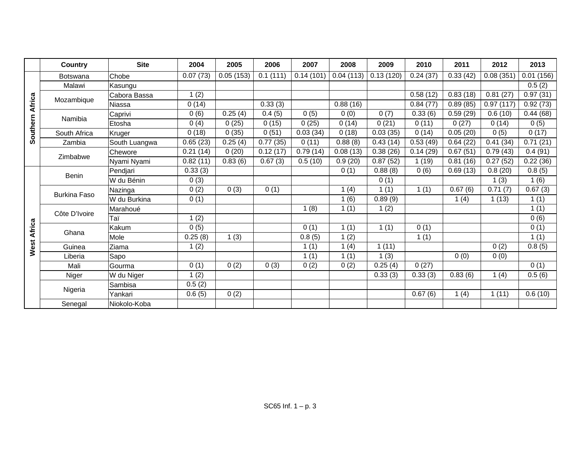|                 | Country             | <b>Site</b>   | 2004     | 2005      | 2006     | 2007      | 2008      | 2009                   | 2010                   | 2011                  | 2012                  | 2013                   |
|-----------------|---------------------|---------------|----------|-----------|----------|-----------|-----------|------------------------|------------------------|-----------------------|-----------------------|------------------------|
|                 | <b>Botswana</b>     | Chobe         | 0.07(73) | 0.05(153) | 0.1(111) | 0.14(101) | 0.04(113) | 0.13(120)              | 0.24(37)               | 0.33(42)              | 0.08(351)             | 0.01(156)              |
|                 | Malawi              | Kasungu       |          |           |          |           |           |                        |                        |                       |                       | 0.5(2)                 |
|                 |                     | Cabora Bassa  | 1(2)     |           |          |           |           |                        | 0.58(12)               | 0.83(18)              | 0.81(27)              | 0.97(31)               |
| Southern Africa | Mozambique          | Niassa        | 0(14)    |           | 0.33(3)  |           | 0.88(16)  |                        | 0.84(77)               | 0.89(85)              | 0.97(117)             | 0.92(73)               |
|                 | Namibia             | Caprivi       | 0(6)     | 0.25(4)   | 0.4(5)   | 0(5)      | 0(0)      | 0(7)                   | 0.33(6)                | 0.59(29)              | 0.6(10)               | $\overline{0.44}$ (68) |
|                 |                     | Etosha        | 0(4)     | 0(25)     | 0(15)    | 0(25)     | 0(14)     | 0(21)                  | 0(11)                  | 0(27)                 | 0(14)                 | 0(5)                   |
|                 | South Africa        | Kruger        | 0(18)    | 0(35)     | 0(51)    | 0.03(34)  | 0(18)     | $\overline{0.03}$ (35) | 0(14)                  | 0.05(20)              | 0(5)                  | 0(17)                  |
|                 | Zambia              | South Luangwa | 0.65(23) | 0.25(4)   | 0.77(35) | 0(11)     | 0.88(8)   | 0.43(14)               | $\overline{0.53}$ (49) | 0.64(22)              | 0.41(34)              | 0.71(21)               |
|                 |                     | Chewore       | 0.21(14) | 0(20)     | 0.12(17) | 0.79(14)  | 0.08(13)  | 0.38(26)               | 0.14(29)               | 0.67(51)              | 0.79(43)              | 0.4(91)                |
|                 | Zimbabwe            | Nyami Nyami   | 0.82(11) | 0.83(6)   | 0.67(3)  | 0.5(10)   | 0.9(20)   | 0.87(52)               | 1(19)                  | 0.81(16)              | 0.27(52)              | 0.22(36)               |
|                 | <b>Benin</b>        | Pendjari      | 0.33(3)  |           |          |           | 0(1)      | 0.88(8)                | 0(6)                   | 0.69(13)              | 0.8(20)               | 0.8(5)                 |
|                 |                     | W du Bénin    | 0(3)     |           |          |           |           | 0(1)                   |                        |                       | 1(3)                  | 1(6)                   |
|                 | <b>Burkina Faso</b> | Nazinga       | 0(2)     | 0(3)      | 0(1)     |           | 1(4)      | 1(1)                   | 1(1)                   | $\overline{0.67}$ (6) | $\overline{0.71}$ (7) | 0.67(3)                |
|                 |                     | W du Burkina  | 0(1)     |           |          |           | 1(6)      | 0.89(9)                |                        | 1(4)                  | 1(13)                 | 1(1)                   |
|                 | Côte D'Ivoire       | Marahoué      |          |           |          | 1(8)      | 1(1)      | 1(2)                   |                        |                       |                       | 1(1)                   |
|                 |                     | Taï           | 1(2)     |           |          |           |           |                        |                        |                       |                       | 0(6)                   |
|                 | Ghana               | Kakum         | 0(5)     |           |          | 0(1)      | 1(1)      | 1(1)                   | 0(1)                   |                       |                       | 0(1)                   |
| West Africa     |                     | Mole          | 0.25(8)  | 1(3)      |          | 0.8(5)    | 1(2)      |                        | 1(1)                   |                       |                       | 1(1)                   |
|                 | Guinea              | Ziama         | 1(2)     |           |          | 1(1)      | 1(4)      | 1(11)                  |                        |                       | 0(2)                  | 0.8(5)                 |
|                 | Liberia             | Sapo          |          |           |          | 1(1)      | 1(1)      | 1(3)                   |                        | 0(0)                  | 0(0)                  |                        |
|                 | Mali                | Gourma        | 0(1)     | 0(2)      | 0(3)     | 0(2)      | 0(2)      | 0.25(4)                | 0(27)                  |                       |                       | 0(1)                   |
|                 | Niger               | W du Niger    | 1(2)     |           |          |           |           | 0.33(3)                | 0.33(3)                | 0.83(6)               | 1(4)                  | 0.5(6)                 |
|                 |                     | Sambisa       | 0.5(2)   |           |          |           |           |                        |                        |                       |                       |                        |
|                 | Nigeria             | Yankari       | 0.6(5)   | 0(2)      |          |           |           |                        | 0.67(6)                | 1(4)                  | 1(11)                 | 0.6(10)                |
|                 | Senegal             | Niokolo-Koba  |          |           |          |           |           |                        |                        |                       |                       |                        |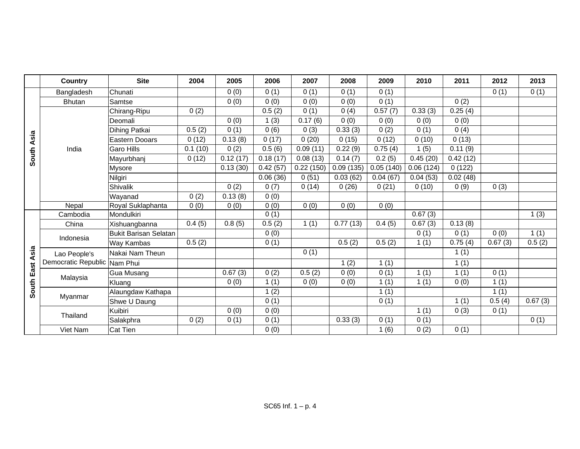|            | <b>Country</b>               | <b>Site</b>           | 2004    | 2005     | 2006                   | 2007      | 2008      | 2009                 | 2010                  | 2011                  | 2012    | 2013    |
|------------|------------------------------|-----------------------|---------|----------|------------------------|-----------|-----------|----------------------|-----------------------|-----------------------|---------|---------|
|            | Bangladesh                   | Chunati               |         | 0(0)     | 0(1)                   | 0(1)      | 0(1)      | 0(1)                 |                       |                       | 0(1)    | 0(1)    |
|            | <b>Bhutan</b>                | Samtse                |         | 0(0)     | 0(0)                   | 0(0)      | 0(0)      | 0(1)                 |                       | 0(2)                  |         |         |
|            |                              | Chirang-Ripu          | 0(2)    |          | 0.5(2)                 | 0(1)      | 0(4)      | 0.57(7)              | 0.33(3)               | 0.25(4)               |         |         |
|            |                              | Deomali               |         | 0(0)     | 1(3)                   | 0.17(6)   | 0(0)      | 0(0)                 | 0(0)                  | 0(0)                  |         |         |
|            |                              | Dihing Patkai         | 0.5(2)  | 0(1)     | 0(6)                   | 0(3)      | 0.33(3)   | 0(2)                 | 0(1)                  | 0(4)                  |         |         |
| South Asia |                              | Eastern Dooars        | 0(12)   | 0.13(8)  | 0(17)                  | 0(20)     | 0(15)     | 0(12)                | 0(10)                 | 0(13)                 |         |         |
|            | India                        | Garo Hills            | 0.1(10) | 0(2)     | 0.5(6)                 | 0.09(11)  | 0.22(9)   | 0.75(4)              | 1(5)                  | 0.11(9)               |         |         |
|            |                              | Mayurbhanj            | 0(12)   | 0.12(17) | 0.18(17)               | 0.08(13)  | 0.14(7)   | 0.2(5)               | 0.45(20)              | 0.42(12)              |         |         |
|            |                              | <b>Mysore</b>         |         | 0.13(30) | $\overline{0.42}$ (57) | 0.22(150) | 0.09(135) | 0.05(140)            | 0.06(124)             | 0(122)                |         |         |
|            |                              | Nilgiri               |         |          | 0.06(36)               | 0(51)     | 0.03(62)  | 0.04(67)             | 0.04(53)              | 0.02(48)              |         |         |
|            |                              | <b>Shivalik</b>       |         | 0(2)     | 0(7)                   | 0(14)     | 0(26)     | 0(21)                | 0(10)                 | 0(9)                  | 0(3)    |         |
|            |                              | Wayanad               | 0(2)    | 0.13(8)  | 0(0)                   |           |           |                      |                       |                       |         |         |
|            | Nepal                        | Royal Suklaphanta     | 0(0)    | 0(0)     | 0(0)                   | 0(0)      | 0(0)      | 0(0)                 |                       |                       |         |         |
|            | Cambodia                     | Mondulkiri            |         |          | 0(1)                   |           |           |                      | 0.67(3)               |                       |         | 1(3)    |
|            | China                        | Xishuangbanna         | 0.4(5)  | 0.8(5)   | 0.5(2)                 | 1(1)      | 0.77(13)  | $\overline{0.4}$ (5) | $\overline{0.67}$ (3) | 0.13(8)               |         |         |
|            | Indonesia                    | Bukit Barisan Selatan |         |          | 0(0)                   |           |           |                      | 0(1)                  | 0(1)                  | 0(0)    | 1(1)    |
|            |                              | <b>Way Kambas</b>     | 0.5(2)  |          | 0(1)                   |           | 0.5(2)    | 0.5(2)               | 1(1)                  | $\overline{0.75}$ (4) | 0.67(3) | 0.5(2)  |
| Asia       | Lao People's                 | Nakai Nam Theun       |         |          |                        | 0(1)      |           |                      |                       | 1(1)                  |         |         |
|            | Democratic Republic Nam Phui |                       |         |          |                        |           | 1(2)      | 1(1)                 |                       | 1(1)                  |         |         |
|            | Malaysia                     | Gua Musang            |         | 0.67(3)  | 0(2)                   | 0.5(2)    | 0(0)      | 0(1)                 | 1(1)                  | 1(1)                  | 0(1)    |         |
| South East |                              | Kluang                |         | 0(0)     | 1(1)                   | 0(0)      | 0(0)      | 1(1)                 | 1(1)                  | 0(0)                  | 1(1)    |         |
|            | Myanmar                      | Alaungdaw Kathapa     |         |          | 1(2)                   |           |           | 1(1)                 |                       |                       | 1(1)    |         |
|            |                              | Shwe U Daung          |         |          | 0(1)                   |           |           | 0(1)                 |                       | 1(1)                  | 0.5(4)  | 0.67(3) |
|            | Thailand                     | Kuibiri               |         | 0(0)     | 0(0)                   |           |           |                      | 1(1)                  | 0(3)                  | 0(1)    |         |
|            |                              | Salakphra             | 0(2)    | 0(1)     | 0(1)                   |           | 0.33(3)   | 0(1)                 | 0(1)                  |                       |         | 0(1)    |
|            | Viet Nam                     | <b>Cat Tien</b>       |         |          | 0(0)                   |           |           | 1(6)                 | 0(2)                  | 0(1)                  |         |         |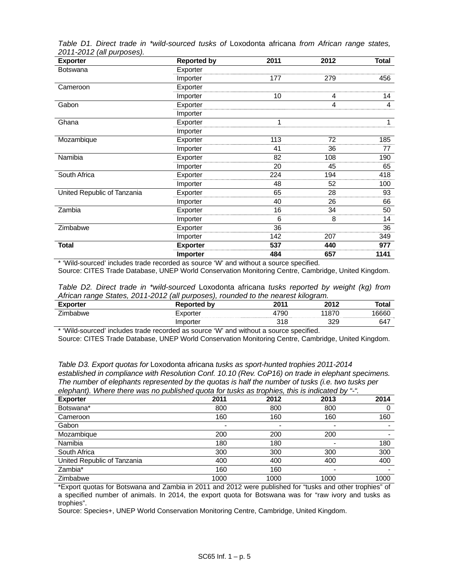| <b>Exporter</b>             | <b>Reported by</b> | 2011 | 2012 | <b>Total</b> |
|-----------------------------|--------------------|------|------|--------------|
| <b>Botswana</b>             | Exporter           |      |      |              |
|                             | Importer           | 177  | 279  | 456          |
| Cameroon                    | Exporter           |      |      |              |
|                             | Importer           | 10   | 4    | 14           |
| Gabon                       | Exporter           |      | 4    | 4            |
|                             | Importer           |      |      |              |
| Ghana                       | Exporter           | 1    |      | 1            |
|                             | Importer           |      |      |              |
| Mozambique                  | Exporter           | 113  | 72   | 185          |
|                             | Importer           | 41   | 36   | 77           |
| Namibia                     | Exporter           | 82   | 108  | 190          |
|                             | Importer           | 20   | 45   | 65           |
| South Africa                | Exporter           | 224  | 194  | 418          |
|                             | Importer           | 48   | 52   | 100          |
| United Republic of Tanzania | Exporter           | 65   | 28   | 93           |
|                             | Importer           | 40   | 26   | 66           |
| Zambia                      | Exporter           | 16   | 34   | 50           |
|                             | Importer           | 6    | 8    | 14           |
| Zimbabwe                    | Exporter           | 36   |      | 36           |
|                             | Importer           | 142  | 207  | 349          |
| <b>Total</b>                | <b>Exporter</b>    | 537  | 440  | 977          |
|                             | Importer           | 484  | 657  | 1141         |

*Table D1. Direct trade in \*wild-sourced tusks of* Loxodonta africana *from African range states, 2011-2012 (all purposes).* 

\* 'Wild-sourced' includes trade recorded as source 'W' and without a source specified. Source: CITES Trade Database, UNEP World Conservation Monitoring Centre, Cambridge, United Kingdom.

| Table D2. Direct trade in *wild-sourced Loxodonta africana tusks reported by weight (kg) from |  |
|-----------------------------------------------------------------------------------------------|--|
| African range States, 2011-2012 (all purposes), rounded to the nearest kilogram.              |  |

| <b>Exporter</b> | <b>Reported by</b> | 2011 | 2012       | <b>Total</b> |
|-----------------|--------------------|------|------------|--------------|
| --<br>Zimbabwe  | .porter            | 4790 | 11870      | 16660        |
|                 | ter                | 318  | 32Q<br>ت∠ب | 647          |

\* 'Wild-sourced' includes trade recorded as source 'W' and without a source specified.

Source: CITES Trade Database, UNEP World Conservation Monitoring Centre, Cambridge, United Kingdom.

*Table D3. Export quotas for* Loxodonta africana *tusks as sport-hunted trophies 2011-2014 established in compliance with Resolution Conf. 10.10 (Rev. CoP16) on trade in elephant specimens. The number of elephants represented by the quotas is half the number of tusks (i.e. two tusks per elephant). Where there was no published quota for tusks as trophies, this is indicated by "-".* 

| <b>Exporter</b>             | 2011 | 2012 | 2013 | 2014 |
|-----------------------------|------|------|------|------|
| Botswana*                   | 800  | 800  | 800  |      |
| Cameroon                    | 160  | 160  | 160  | 160  |
| Gabon                       |      |      |      |      |
| Mozambique                  | 200  | 200  | 200  |      |
| Namibia                     | 180  | 180  |      | 180  |
| South Africa                | 300  | 300  | 300  | 300  |
| United Republic of Tanzania | 400  | 400  | 400  | 400  |
| Zambia*                     | 160  | 160  |      |      |
| Zimbabwe                    | 1000 | 1000 | 1000 | 1000 |

\*Export quotas for Botswana and Zambia in 2011 and 2012 were published for "tusks and other trophies" of a specified number of animals. In 2014, the export quota for Botswana was for "raw ivory and tusks as trophies".

Source: Species+, UNEP World Conservation Monitoring Centre, Cambridge, United Kingdom.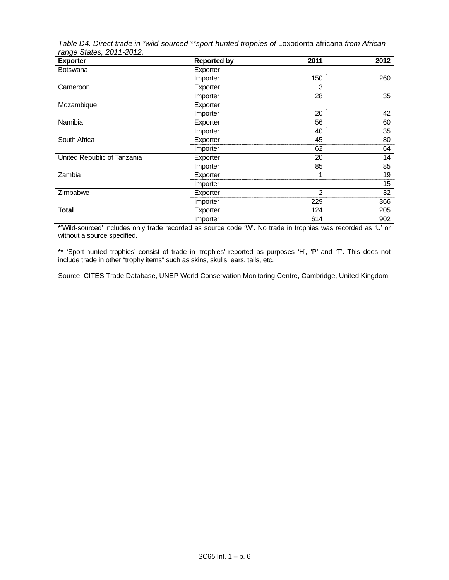| <b>Exporter</b>             | <b>Reported by</b> | 2011           | 2012 |
|-----------------------------|--------------------|----------------|------|
| <b>Botswana</b>             | Exporter           |                |      |
|                             | Importer           | 150            | 260  |
| Cameroon                    | Exporter           | 3              |      |
|                             | Importer           | 28             | 35   |
| Mozambique                  | Exporter           |                |      |
|                             | Importer           | 20             | 42   |
| Namibia                     | Exporter           | 56             | 60   |
|                             | Importer           | 40             | 35   |
| South Africa                | Exporter           | 45             | 80   |
|                             | Importer           | 62             | 64   |
| United Republic of Tanzania | Exporter           | 20             | 14   |
|                             | Importer           | 85             | 85   |
| Zambia                      | Exporter           | 1              | 19   |
|                             | Importer           |                | 15   |
| Zimbabwe                    | Exporter           | $\overline{2}$ | 32   |
|                             | Importer           | 229            | 366  |
| <b>Total</b>                | Exporter           | 124            | 205  |
|                             | Importer           | 614            | 902  |

*Table D4. Direct trade in \*wild-sourced \*\*sport-hunted trophies of* Loxodonta africana *from African range States, 2011-2012.* 

\*'Wild-sourced' includes only trade recorded as source code 'W'. No trade in trophies was recorded as 'U' or without a source specified.

\*\* 'Sport-hunted trophies' consist of trade in 'trophies' reported as purposes 'H', 'P' and 'T'. This does not include trade in other "trophy items" such as skins, skulls, ears, tails, etc.

Source: CITES Trade Database, UNEP World Conservation Monitoring Centre, Cambridge, United Kingdom.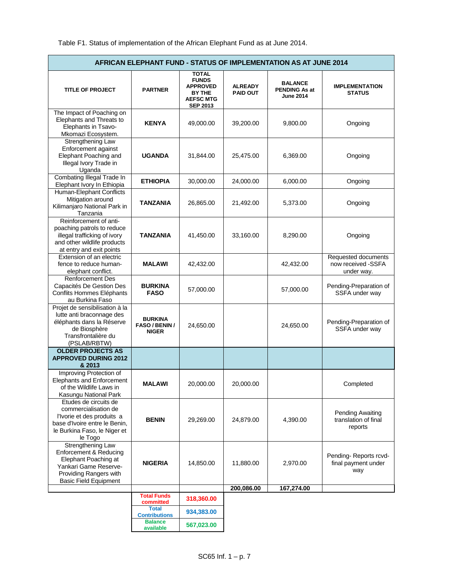| <b>AFRICAN ELEPHANT FUND - STATUS OF IMPLEMENTATION AS AT JUNE 2014</b>                                                                                       |                                                         |                                                                                                         |                                   |                                                     |                                                         |  |  |  |
|---------------------------------------------------------------------------------------------------------------------------------------------------------------|---------------------------------------------------------|---------------------------------------------------------------------------------------------------------|-----------------------------------|-----------------------------------------------------|---------------------------------------------------------|--|--|--|
| <b>TITLE OF PROJECT</b>                                                                                                                                       | <b>PARTNER</b>                                          | <b>TOTAL</b><br><b>FUNDS</b><br><b>APPROVED</b><br><b>BY THE</b><br><b>AEFSC MTG</b><br><b>SEP 2013</b> | <b>ALREADY</b><br><b>PAID OUT</b> | <b>BALANCE</b><br>PENDING As at<br><b>June 2014</b> | <b>IMPLEMENTATION</b><br><b>STATUS</b>                  |  |  |  |
| The Impact of Poaching on<br>Elephants and Threats to<br>Elephants in Tsavo-<br>Mkomazi Ecosystem.                                                            | <b>KENYA</b>                                            | 49,000.00                                                                                               | 39,200.00                         | 9,800.00                                            | Ongoing                                                 |  |  |  |
| Strengthening Law<br>Enforcement against<br>Elephant Poaching and<br>Illegal Ivory Trade in<br>Uganda                                                         | <b>UGANDA</b>                                           | 31,844.00                                                                                               | 25,475.00                         | 6,369.00                                            | Ongoing                                                 |  |  |  |
| Combating Illegal Trade In<br>Elephant Ivory In Ethiopia                                                                                                      | <b>ETHIOPIA</b>                                         | 30,000.00                                                                                               | 24,000.00                         | 6,000.00                                            | Ongoing                                                 |  |  |  |
| Human-Elephant Conflicts<br>Mitigation around<br>Kilimanjaro National Park in<br>Tanzania                                                                     | <b>TANZANIA</b>                                         | 26,865.00                                                                                               | 21,492.00                         | 5,373.00                                            | Ongoing                                                 |  |  |  |
| Reinforcement of anti-<br>poaching patrols to reduce<br>illegal trafficking of ivory<br>and other wildlife products<br>at entry and exit points               | <b>TANZANIA</b>                                         | 41,450.00                                                                                               | 33,160.00                         | 8,290.00                                            | Ongoing                                                 |  |  |  |
| Extension of an electric<br>fence to reduce human-<br>elephant conflict.                                                                                      | <b>MALAWI</b>                                           | 42,432.00                                                                                               |                                   | 42,432.00                                           | Requested documents<br>now received -SSFA<br>under way. |  |  |  |
| <b>Renforcement Des</b><br>Capacités De Gestion Des<br>Conflits Hommes Eléphants<br>au Burkina Faso                                                           | <b>BURKINA</b><br><b>FASO</b>                           | 57,000.00                                                                                               |                                   | 57,000.00                                           | Pending-Preparation of<br>SSFA under way                |  |  |  |
| Projet de sensibilisation à la<br>lutte anti braconnage des<br>éléphants dans la Réserve<br>de Biosphère<br>Transfrontalière du<br>(PSLAB/RBTW)               | <b>BURKINA</b><br><b>FASO / BENIN /</b><br><b>NIGER</b> | 24,650.00                                                                                               |                                   | 24,650.00                                           | Pending-Preparation of<br>SSFA under way                |  |  |  |
| <b>OLDER PROJECTS AS</b><br><b>APPROVED DURING 2012</b><br>& 2013                                                                                             |                                                         |                                                                                                         |                                   |                                                     |                                                         |  |  |  |
| Improving Protection of<br><b>Elephants and Enforcement</b><br>of the Wildlife Laws in<br>Kasungu National Park                                               | MALAWI                                                  | 20,000.00                                                                                               | 20,000.00                         |                                                     | Completed                                               |  |  |  |
| Etudes de circuits de<br>commercialisation de<br>l'Ivorie et des produits a<br>base d'Ivoire entre le Benin,<br>le Burkina Faso, le Niger et<br>le Togo       | <b>BENIN</b>                                            | 29,269.00                                                                                               | 24,879.00                         | 4,390.00                                            | Pending Awaiting<br>translation of final<br>reports     |  |  |  |
| <b>Strengthening Law</b><br>Enforcement & Reducing<br>Elephant Poaching at<br>Yankari Game Reserve-<br>Providing Rangers with<br><b>Basic Field Equipment</b> | <b>NIGERIA</b>                                          | 14,850.00                                                                                               | 11,880.00                         | 2,970.00                                            | Pending-Reports rcvd-<br>final payment under<br>way     |  |  |  |
|                                                                                                                                                               |                                                         |                                                                                                         | 200,086.00                        | 167,274.00                                          |                                                         |  |  |  |
|                                                                                                                                                               | <b>Total Funds</b><br>committed                         | 318,360.00                                                                                              |                                   |                                                     |                                                         |  |  |  |
|                                                                                                                                                               | <b>Total</b><br><b>Contributions</b>                    | 934,383.00                                                                                              |                                   |                                                     |                                                         |  |  |  |
|                                                                                                                                                               | <b>Balance</b><br>available                             | 567,023.00                                                                                              |                                   |                                                     |                                                         |  |  |  |